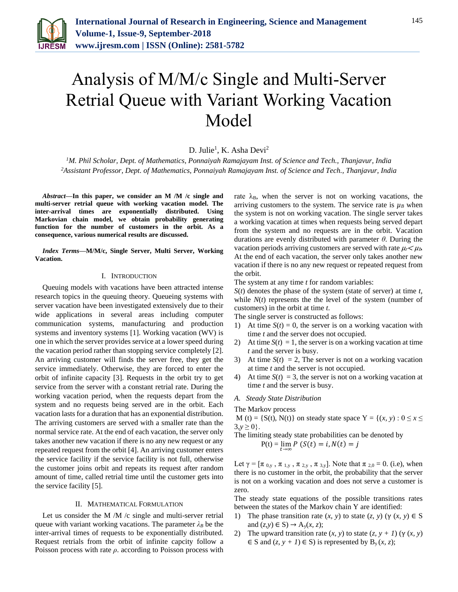

# Analysis of M/M/c Single and Multi-Server Retrial Queue with Variant Working Vacation Model

D. Julie<sup>1</sup>, K. Asha Devi<sup>2</sup>

*<sup>1</sup>M. Phil Scholar, Dept. of Mathematics, Ponnaiyah Ramajayam Inst. of Science and Tech., Thanjavur, India <sup>2</sup>Assistant Professor, Dept. of Mathematics, Ponnaiyah Ramajayam Inst. of Science and Tech., Thanjavur, India*

*Abstract***—In this paper, we consider an M /M /c single and multi-server retrial queue with working vacation model. The inter-arrival times are exponentially distributed. Using Markovian chain model, we obtain probability generating function for the number of customers in the orbit. As a consequence, various numerical results are discussed.** 

*Index Terms***—M/M/c, Single Server, Multi Server, Working Vacation.**

### I. INTRODUCTION

Queuing models with vacations have been attracted intense research topics in the queuing theory. Queueing systems with server vacation have been investigated extensively due to their wide applications in several areas including computer communication systems, manufacturing and production systems and inventory systems [1]. Working vacation (WV) is one in which the server provides service at a lower speed during the vacation period rather than stopping service completely [2]. An arriving customer will finds the server free, they get the service immediately. Otherwise, they are forced to enter the orbit of infinite capacity [3]. Requests in the orbit try to get service from the server with a constant retrial rate. During the working vacation period, when the requests depart from the system and no requests being served are in the orbit. Each vacation lasts for a duration that has an exponential distribution. The arriving customers are served with a smaller rate than the normal service rate. At the end of each vacation, the server only takes another new vacation if there is no any new request or any repeated request from the orbit [4]. An arriving customer enters the service facility if the service facility is not full, otherwise the customer joins orbit and repeats its request after random amount of time, called retrial time until the customer gets into the service facility [5].

#### II. MATHEMATICAL FORMULATION

Let us consider the M /M /c single and multi-server retrial queue with variant working vacations. The parameter  $\lambda_B$  be the inter-arrival times of requests to be exponentially distributed. Request retrials from the orbit of infinite capcity follow a Poisson process with rate *ρ*. according to Poisson process with rate  $\lambda_B$ , when the server is not on working vacations, the arriving customers to the system. The service rate is  $\mu_B$  when the system is not on working vacation. The single server takes a working vacation at times when requests being served depart from the system and no requests are in the orbit. Vacation durations are evenly distributed with parameter *θ*. During the vacation periods arriving customers are served with rate  $\mu \lt \mu_b$ . At the end of each vacation, the server only takes another new vacation if there is no any new request or repeated request from the orbit.

The system at any time *t* for random variables:

*S*(*t*) denotes the phase of the system (state of server) at time *t*, while *N*(*t*) represents the the level of the system (number of customers) in the orbit at time *t*.

The single server is constructed as follows:

- 1) At time  $S(t) = 0$ , the server is on a working vacation with time *t* and the server does not occupied.
- 2) At time  $S(t) = 1$ , the server is on a working vacation at time *t* and the server is busy.
- 3) At time  $S(t) = 2$ , The server is not on a working vacation at time *t* and the server is not occupied.
- 4) At time  $S(t) = 3$ , the server is not on a working vacation at time *t* and the server is busy.

# *A. Steady State Distribution*

The Markov process

M (t) = {S(t), N(t)} on steady state space  $Y = \{(x, y) : 0 \le x \le$  $3, y \ge 0$ .

The limiting steady state probabilities can be denoted by  $P(t) = \lim_{t \to \infty} P(S(t) = i, N(t) = j)$ 

Let  $\gamma = [\pi_{0,y}, \pi_{1,y}, \pi_{2,y}, \pi_{3,y}]$ . Note that  $\pi_{2,0} = 0$ . (i.e), when there is no customer in the orbit, the probability that the server is not on a working vacation and does not serve a customer is zero.

The steady state equations of the possible transitions rates between the states of the Markov chain Y are identified:

- 1) The phase transition rate  $(x, y)$  to state  $(z, y)$   $(\gamma (x, y) \in S)$ and  $(z, y) \in S$ )  $\rightarrow A_y(x, z)$ ;
- 2) The upward transition rate  $(x, y)$  to state  $(z, y + 1)$   $(\gamma (x, y))$ ∈ S and  $(z, y + 1)$  ∈ S) is represented by B<sub>y</sub> $(x, z)$ ;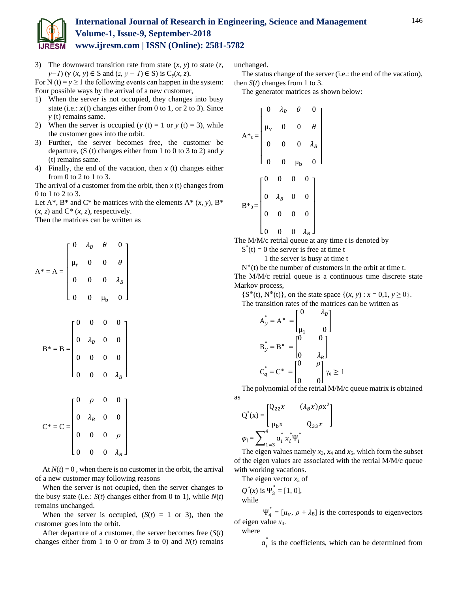

For N (t) =  $y \ge 1$  the following events can happen in the system: Four possible ways by the arrival of a new customer,

- 1) When the server is not occupied, they changes into busy state (i.e.:  $x(t)$  changes either from 0 to 1, or 2 to 3). Since *y* (t) remains same.
- 2) When the server is occupied ( $y(t) = 1$  or  $y(t) = 3$ ), while the customer goes into the orbit.
- 3) Further, the server becomes free, the customer be departure, (S (t) changes either from 1 to 0 to 3 to 2) and *y*  (t) remains same.
- 4) Finally, the end of the vacation, then *x* (t) changes either from 0 to 2 to 1 to 3.

The arrival of a customer from the orbit, then *x* (t) changes from 0 to 1 to 2 to 3.

Let  $A^*$ ,  $B^*$  and  $C^*$  be matrices with the elements  $A^*(x, y)$ ,  $B^*$  $(x, z)$  and  $C^*$   $(x, z)$ , respectively.

Then the matrices can be written as

$$
A^* = A = \begin{bmatrix} 0 & \lambda_B & \theta & 0 \\ \mu_r & 0 & 0 & \theta \\ 0 & 0 & 0 & \lambda_B \\ 0 & 0 & \mu_b & 0 \end{bmatrix}
$$

$$
B^* = B = \begin{bmatrix} 0 & 0 & 0 & 0 \\ 0 & \lambda_B & 0 & 0 \\ 0 & 0 & 0 & 0 \\ 0 & 0 & 0 & \lambda_B \end{bmatrix}
$$

$$
C^* = C = \begin{bmatrix} 0 & \rho & 0 & 0 \\ 0 & \lambda_B & 0 & 0 \\ 0 & 0 & 0 & \rho \\ 0 & 0 & 0 & \lambda_B \end{bmatrix}
$$

At  $N(t) = 0$ , when there is no customer in the orbit, the arrival of a new customer may following reasons

When the server is not ocupied, then the server changes to the busy state (i.e.:  $S(t)$  changes either from 0 to 1), while  $N(t)$ remains unchanged.

When the server is occupied,  $(S(t) = 1 \text{ or } 3)$ , then the customer goes into the orbit.

After departure of a customer, the server becomes free (*S*(*t*) changes either from 1 to 0 or from 3 to 0) and *N*(*t*) remains unchanged.

The status change of the server (i.e.: the end of the vacation), then  $S(t)$  changes from 1 to 3.

The generator matrices as shown below:

$$
A^*_{0} = \begin{bmatrix} 0 & \lambda_B & \theta & 0 \\ \mu_v & 0 & 0 & \theta \\ 0 & 0 & 0 & \lambda_B \\ 0 & 0 & \mu_b & 0 \end{bmatrix}
$$

$$
B^*_{0} = \begin{bmatrix} 0 & 0 & 0 & 0 \\ 0 & \lambda_B & 0 & 0 \\ 0 & 0 & 0 & 0 \\ 0 & 0 & 0 & \lambda_B \end{bmatrix}
$$

The M/M/c retrial queue at any time *t* is denoted by

 $S^*(t) = 0$  the server is free at time t

1 the server is busy at time t

 $N^*(t)$  be the number of customers in the orbit at time t. The M/M/c retrial queue is a continuous time discrete state Markov process,

 ${S^*(t), N^*(t)}$ , on the state space  ${(x, y) : x = 0, 1, y \ge 0}.$ 

The transition rates of the matrices can be written as

$$
A_y^* = A^* = \begin{bmatrix} 0 & \lambda_B \\ \mu_1 & 0 \end{bmatrix}
$$

$$
B_y^* = B^* = \begin{bmatrix} 0 & 0 \\ 0 & \lambda_B \end{bmatrix}
$$

$$
C_q^* = C^* = \begin{bmatrix} 0 & \rho \\ 0 & \lambda_B \end{bmatrix} \gamma_q \ge 1
$$

The polynomial of the retrial M/M/c queue matrix is obtained as

$$
Q^*(x) = \begin{bmatrix} Q_{22}x & (\lambda_B x)\rho x^2 \\ \mu_b x & Q_{33}x \end{bmatrix}
$$

$$
\varphi_j = \sum_{i=3}^4 \alpha_i^* x_i^* \Psi_i^*
$$

The eigen values namely  $x_3$ ,  $x_4$  and  $x_5$ , which form the subset of the eigen values are associated with the retrial M/M/c queue with working vacations.

The eigen vector  $x_3$  of

$$
Q^*(x) \text{ is } \Psi_3^* = [1, 0],
$$
  
while

 $\Psi_4^* = [\mu_V, \rho + \lambda_B]$  is the corresponds to eigenvectors of eigen value *x*4.

where

 $a_i^*$  is the coefficients, which can be determined from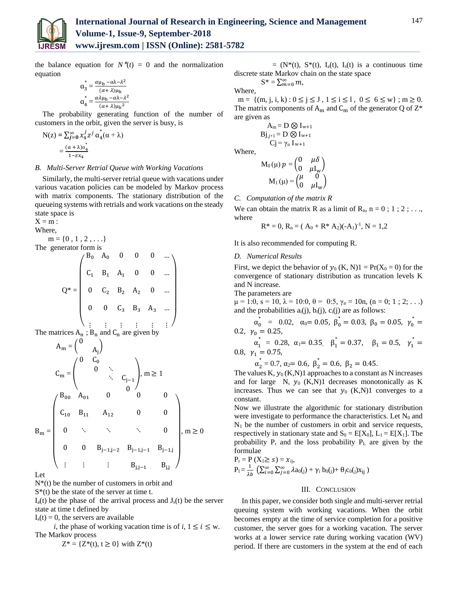

the balance equation for  $N^*(t) = 0$  and the normalization equation

$$
\mathbf{a}_{3}^{*} = \frac{\alpha \mu_{\rm b} - \alpha \lambda - \lambda^2}{(\alpha + \lambda)\mu_{\rm b}}
$$

$$
\mathbf{a}_{4}^{*} = \frac{\alpha \lambda \mu_{\rm b} - \alpha \lambda - \lambda^2}{(\alpha + \lambda)\mu_{\rm b}^2}
$$

The probability generating function of the number of customers in the orbit, given the server is busy, is

$$
N(z) = \sum_{j=0}^{\infty} x_4^j z^j a_4^*(\alpha + \lambda)
$$

$$
= \frac{(\alpha + \lambda)a_4^*}{1 - zx_4}
$$

### *B. Multi-Server Retrial Queue with Working Vacations*

Similarly, the multi-server retrial queue with vacations under various vacation policies can be modeled by Markov process with matrix components. The stationary distribution of the queueing systems with retrials and work vacations on the steady state space is

 $X = m$ :

Where,

 $m = \{0, 1, 2, \ldots\}$ 

The generator form is

$$
Q^* = \begin{pmatrix} B_0 & A_0 & 0 & 0 & 0 & \cdots \\ & C_1 & B_1 & A_1 & 0 & 0 & \cdots \\ & & & & & & \\ 0 & C_2 & B_2 & A_2 & 0 & \cdots \\ & & & & & & \\ 0 & 0 & C_3 & B_3 & A_3 & \cdots \\ & & & & & & \\ \vdots & & \vdots & \vdots & \vdots & \vdots & \vdots \end{pmatrix}
$$

The matrices  $A_n$ ;  $B_n$  and  $C_n$  are given by

$$
A_{m} = \begin{pmatrix} 0 & 0 \\ 0 & \lambda_{j} \end{pmatrix}
$$
  
\n
$$
C_{m} = \begin{pmatrix} 0 & C_{0} & & & \\ & 0 & \lambda_{j} & & \\ & & \lambda_{j} & C_{j-1} & \\ & & 0 & 0 & 0 \\ & & & 0 & 0 \\ & C_{10} & B_{11} & A_{12} & 0 & 0 \\ & & & \lambda_{j} & \lambda_{j} & 0 \\ & & & & \lambda_{j} & 0 \\ & & & & & \lambda_{j} & 0 \\ & & & & & & \lambda_{j} & 0 \\ & & & & & & & \lambda_{j} & 0 \\ & & & & & & & & \lambda_{j} & 0 \\ & & & & & & & & & \lambda_{j} & 0 \\ & & & & & & & & & & \lambda_{j} & 0 \\ & & & & & & & & & & & \lambda_{j} & 0 \\ & & & & & & & & & & & & \lambda_{j} & 0 \\ & & & & & & & & & & & & \lambda_{j} & 0 \\ & & & & & & & & & & & & & \lambda_{j} & 0 \\ & & & & & & & & & & & & & & \lambda_{j} & 0 \\ & & & & & & & & & & & & & & \lambda_{j} & 0 \\ & & & & & & & & & & & & & & & \lambda_{j} & 0 \\ & & & & & & & & & & & & & & & \lambda_{j} & 0 \\ & & & & & & & & & & & & & & & \lambda_{j} & 0 \\ & & & & & & & & & & & & & & & \lambda_{j} & 0 \\ & & & & & & & & & & & & & & & \lambda_{j} & 0 \\ & & & & & & & & & & & & & & & \lambda_{j} & 0 & 0 \\ & & & & & & & & & & & & & & & \lambda_{j} & 0 & 0 & 0 \\ & & & & & & & & & & & & & & & & \lambda_{j} & 0 & 0 & 0 \\ & & & & & & & & & & & & & & & & \lambda_{j} & 0 & 0 & 0 \\ & & & & & & & & & & & & & & & & \lambda_{j} & 0 & 0 & 0 \\ & & & & & & & & & & & & & & & & \lambda_{j} & 0 & 0 & 0 & 0 & 0 \\ & & & & & & & & & & & & & & & & & \lambda_{j} & 0 & 0 & 0 & 0 & 0 & 0 \\ & & & & & & & & & & & & & &
$$

Let

N\*(t) be the number of customers in orbit and

 $S^*(t)$  be the state of the server at time t.

 $I_a(t)$  be the phase of the arrival process and  $J_s(t)$  be the server state at time t defined by

 $I<sub>s</sub>(t) = 0$ , the servers are available

*i*, the phase of working vacation time is of *i*,  $1 \le i \le w$ . The Markov process

$$
Z^* = \{ Z^*(t), t \ge 0 \} \text{ with } Z^*(t)
$$

 $= (N^*(t), S^*(t), I_a(t), I_s(t))$  is a continuous time discrete state Markov chain on the state space

 $S^* = \sum_{m=0}^{\infty} m,$ 

Where,

 $m = \{(m, j, i, k) : 0 \le j \le J, 1 \le i \le l, 0 \le 6 \le w\}$ ;  $m \ge 0$ . The matrix components of  $A_m$  and  $C_m$  of the generator Q of  $Z^*$ are given as

$$
\begin{array}{c}\nA_m = D \otimes I_{w+1} \\
B_{J,j+1} = D \otimes I_{w+1} \\
C_{J} = \gamma_n I_{w+1}\n\end{array}
$$

Where,

$$
M_0(\mu) p = \begin{pmatrix} 0 & \mu \delta \\ 0 & \mu I_w \end{pmatrix}
$$

$$
M_1(\mu) = \begin{pmatrix} \mu & 0 \\ 0 & \mu I_w \end{pmatrix}
$$

### *C. Computation of the matrix R*

We can obtain the matrix R as a limit of  $R_n$ ,  $n = 0$ ; 1; 2; ... where

$$
R^* = 0, R_n = (A_0 + R^* A_2)(-A_1)^{-1}, N = 1,2
$$

It is also recommended for computing R.

### *D. Numerical Results*

First, we depict the behavior of  $y_0$  (K, N)1 = Pr(X<sub>0</sub> = 0) for the convergence of stationary distribution as truncation levels K and N increase.

The parameters are

 $\mu = 1:0$ ,  $s = 10$ ,  $\lambda = 10:0$ ,  $\theta = 0:5$ ,  $\gamma_n = 10n$ ,  $(n = 0; 1; 2; ...)$ and the probabilities  $a_i(j)$ ,  $b_i(j)$ ,  $c_i(j)$  are as follows:

 $\alpha_0^*$  = 0.02,  $\alpha_0 = 0.05$ ,  $\beta_0^* = 0.03$ ,  $\beta_0 = 0.05$ ,  $\gamma_0^* =$ 0.2,  $\gamma_0 = 0.25$ ,

 $\alpha_1^* = 0.28, \ \alpha_1 = 0.35, \ \beta_1^* = 0.37, \ \beta_1 = 0.5, \ \gamma_1^* =$ 0.8,  $\gamma_1 = 0.75$ ,

 $\alpha_2^* = 0.7, \alpha_2 = 0.6, \beta_2^* = 0.6, \beta_2 = 0.45.$ 

The values K,  $y_0$  (K,N)1 approaches to a constant as N increases and for large  $N$ ,  $y_0$  (K,N)1 decreases monotonically as K increases. Thus we can see that  $y_0$  (K,N)1 converges to a constant.

Now we illustrate the algorithmic for stationary distribution were investigate to performance the characteristics. Let  $N_0$  and  $N_1$  be the number of customers in orbit and service requests, respectively in stationary state and  $S_0 = E[X_0]$ ,  $L_1 = E[X_1]$ . The probability  $P_r$  and the loss probability  $P_l$  are given by the formulae

$$
P_r = P(X_1 \ge s) = x_{ij},
$$
  
\n
$$
P_1 = \frac{1}{\lambda b} \left( \sum_{i=0}^{\infty} \sum_{j=0}^{\infty} \lambda a_0(j) + \gamma_i b_0(j) + \theta_j c_0(j) x_{ij} \right)
$$

## III. CONCLUSION

In this paper, we consider both single and multi-server retrial queuing system with working vacations. When the orbit becomes empty at the time of service completion for a positive customer, the server goes for a working vacation. The server works at a lower service rate during working vacation (WV) period. If there are customers in the system at the end of each